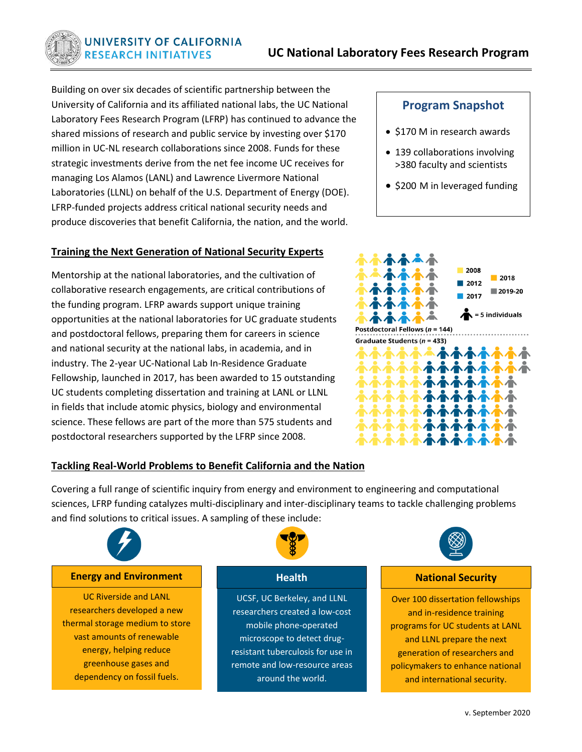Building on over six decades of scientific partnership between the University of California and its affiliated national labs, the UC National Laboratory Fees Research Program (LFRP) has continued to advance the shared missions of research and public service by investing over \$170 million in UC-NL research collaborations since 2008. Funds for these strategic investments derive from the net fee income UC receives for managing Los Alamos (LANL) and Lawrence Livermore National Laboratories (LLNL) on behalf of the U.S. Department of Energy (DOE). LFRP-funded projects address critical national security needs and produce discoveries that benefit California, the nation, and the world.

### **Training the Next Generation of National Security Experts**

Mentorship at the national laboratories, and the cultivation of collaborative research engagements, are critical contributions of the funding program. LFRP awards support unique training opportunities at the national laboratories for UC graduate students and postdoctoral fellows, preparing them for careers in science and national security at the national labs, in academia, and in industry. The 2-year UC-National Lab In-Residence Graduate Fellowship, launched in 2017, has been awarded to 15 outstanding UC students completing dissertation and training at LANL or LLNL in fields that include atomic physics, biology and environmental science. These fellows are part of the more than 575 students and postdoctoral researchers supported by the LFRP since 2008.

# **Program Snapshot**

- \$170 M in research awards
- 139 collaborations involving >380 faculty and scientists
- \$200 M in leveraged funding



## **Tackling Real-World Problems to Benefit California and the Nation**

Covering a full range of scientific inquiry from energy and environment to engineering and computational sciences, LFRP funding catalyzes multi-disciplinary and inter-disciplinary teams to tackle challenging problems and find solutions to critical issues. A sampling of these include:



#### **Energy and Environment Health**

UC Riverside and LANL researchers developed a new thermal storage medium to store vast amounts of renewable energy, helping reduce greenhouse gases and dependency on fossil fuels.



UCSF, UC Berkeley, and LLNL researchers created a low-cost mobile phone-operated microscope to detect drugresistant tuberculosis for use in remote and low-resource areas around the world.



#### **National Security**

Over 100 dissertation fellowships and in-residence training programs for UC students at LANL and LLNL prepare the next generation of researchers and policymakers to enhance national and international security.